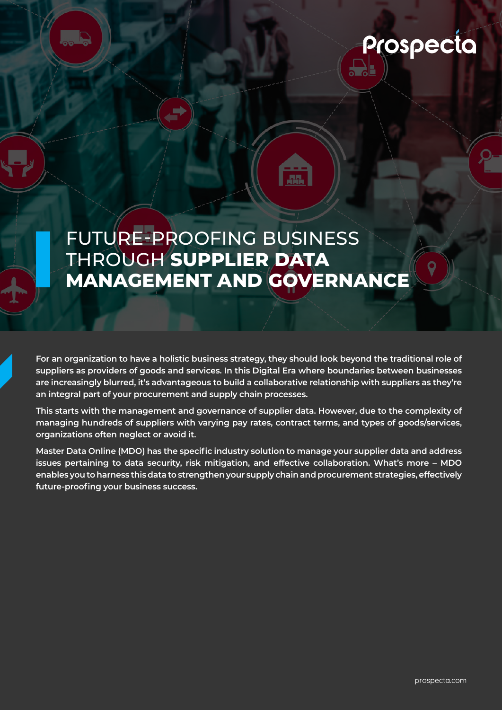

FUTURE-PROOFING BUSINESS THROUGH **SUPPLIER DATA MANAGEMENT AND GOVERNANCE**

**AR** 

**D** 

**For an organization to have a holistic business strategy, they should look beyond the traditional role of suppliers as providers of goods and services. In this Digital Era where boundaries between businesses are increasingly blurred, it's advantageous to build a collaborative relationship with suppliers as they're an integral part of your procurement and supply chain processes.** 

**This starts with the management and governance of supplier data. However, due to the complexity of managing hundreds of suppliers with varying pay rates, contract terms, and types of goods/services, organizations often neglect or avoid it.** 

**Master Data Online (MDO) has the specific industry solution to manage your supplier data and address issues pertaining to data security, risk mitigation, and effective collaboration. What's more – MDO enables you to harness this data to strengthen your supply chain and procurement strategies, effectively future-proofing your business success.**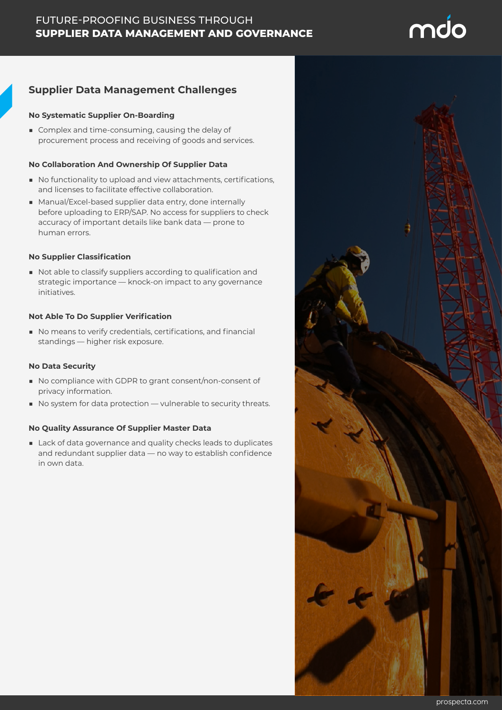# **Supplier Data Management Challenges**

### **No Systematic Supplier On-Boarding**

■ Complex and time-consuming, causing the delay of procurement process and receiving of goods and services.

### **No Collaboration And Ownership Of Supplier Data**

- No functionality to upload and view attachments, certifications, and licenses to facilitate effective collaboration.
- Manual/Excel-based supplier data entry, done internally before uploading to ERP/SAP. No access for suppliers to check accuracy of important details like bank data — prone to human errors.

### **No Supplier Classification**

■ Not able to classify suppliers according to qualification and strategic importance — knock-on impact to any governance initiatives.

### **Not Able To Do Supplier Verification**

■ No means to verify credentials, certifications, and financial standings — higher risk exposure.

### **No Data Security**

- No compliance with GDPR to grant consent/non-consent of privacy information.
- No system for data protection vulnerable to security threats.

### **No Quality Assurance Of Supplier Master Data**

■ Lack of data governance and quality checks leads to duplicates and redundant supplier data — no way to establish confidence in own data.



md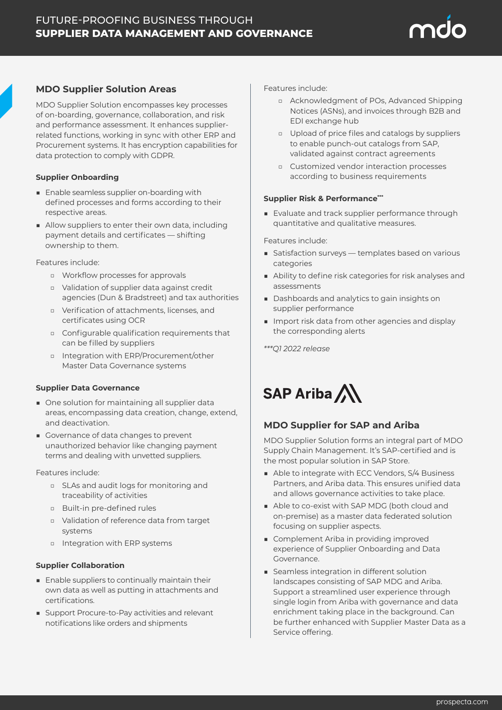

MDO Supplier Solution encompasses key processes of on-boarding, governance, collaboration, and risk and performance assessment. It enhances supplierrelated functions, working in sync with other ERP and Procurement systems. It has encryption capabilities for data protection to comply with GDPR.

### **Supplier Onboarding**

- Enable seamless supplier on-boarding with defined processes and forms according to their respective areas.
- Allow suppliers to enter their own data, including payment details and certificates — shifting ownership to them.

Features include:

- □ Workflow processes for approvals
- □ Validation of supplier data against credit agencies (Dun & Bradstreet) and tax authorities
- □ Verification of attachments, licenses, and certificates using OCR
- □ Configurable qualification requirements that can be filled by suppliers
- □ Integration with ERP/Procurement/other Master Data Governance systems

### **Supplier Data Governance**

- One solution for maintaining all supplier data areas, encompassing data creation, change, extend, and deactivation.
- Governance of data changes to prevent unauthorized behavior like changing payment terms and dealing with unvetted suppliers.

Features include:

- □ SLAs and audit logs for monitoring and traceability of activities
- □ Built-in pre-defined rules
- □ Validation of reference data from target systems
- □ Integration with ERP systems

### **Supplier Collaboration**

- Enable suppliers to continually maintain their own data as well as putting in attachments and certifications.
- Support Procure-to-Pay activities and relevant notifications like orders and shipments

Features include:

- □ Acknowledgment of POs, Advanced Shipping Notices (ASNs), and invoices through B2B and EDI exchange hub
- □ Upload of price files and catalogs by suppliers to enable punch-out catalogs from SAP, validated against contract agreements
- □ Customized vendor interaction processes according to business requirements

### **Supplier Risk & Performance\*\*\***

■ Evaluate and track supplier performance through quantitative and qualitative measures.

Features include:

- Satisfaction surveys templates based on various categories
- Ability to define risk categories for risk analyses and assessments
- Dashboards and analytics to gain insights on supplier performance
- Import risk data from other agencies and display the corresponding alerts

*\*\*\*Q1 2022 release* 



## **MDO Supplier for SAP and Ariba**

MDO Supplier Solution forms an integral part of MDO Supply Chain Management. It's SAP-certified and is the most popular solution in SAP Store.

- Able to integrate with ECC Vendors, S/4 Business Partners, and Ariba data. This ensures unified data and allows governance activities to take place.
- Able to co-exist with SAP MDG (both cloud and on-premise) as a master data federated solution focusing on supplier aspects.
- Complement Ariba in providing improved experience of Supplier Onboarding and Data Governance.
- Seamless integration in different solution landscapes consisting of SAP MDG and Ariba. Support a streamlined user experience through single login from Ariba with governance and data enrichment taking place in the background. Can be further enhanced with Supplier Master Data as a Service offering.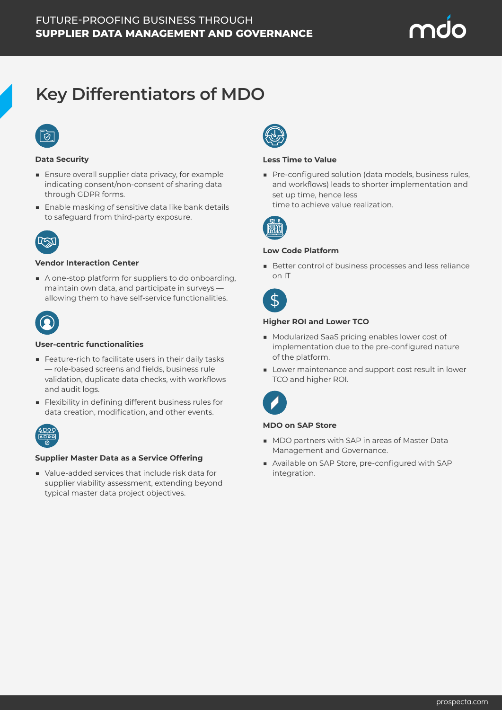

# **Key Differentiators of MDO**

### **Data Security**

- Ensure overall supplier data privacy, for example indicating consent/non-consent of sharing data through GDPR forms.
- Enable masking of sensitive data like bank details to safeguard from third-party exposure.



### **Vendor Interaction Center**

■ A one-stop platform for suppliers to do onboarding, maintain own data, and participate in surveys allowing them to have self-service functionalities.



### **User-centric functionalities**

- Feature-rich to facilitate users in their daily tasks — role-based screens and fields, business rule validation, duplicate data checks, with workflows and audit logs.
- Flexibility in defining different business rules for data creation, modification, and other events.



### **Supplier Master Data as a Service Offering**

■ Value-added services that include risk data for supplier viability assessment, extending beyond typical master data project objectives.



### **Less Time to Value**

■ Pre-configured solution (data models, business rules, and workflows) leads to shorter implementation and set up time, hence less time to achieve value realization.



### **Low Code Platform**

■ Better control of business processes and less reliance on IT

### **Higher ROI and Lower TCO**

- Modularized SaaS pricing enables lower cost of implementation due to the pre-configured nature of the platform.
- Lower maintenance and support cost result in lower TCO and higher ROI.



### **MDO on SAP Store**

- MDO partners with SAP in areas of Master Data Management and Governance.
- Available on SAP Store, pre-configured with SAP integration.